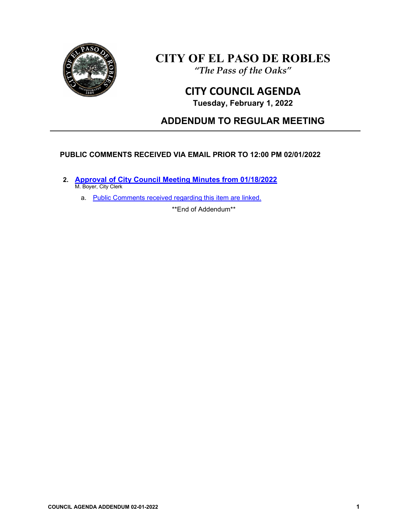

# **CITY OF EL PASO DE ROBLES**

*"The Pass of the Oaks"*

## **CITY COUNCIL AGENDA**

**Tuesday, February 1, 2022**

## **ADDENDUM TO REGULAR MEETING**

## **PUBLIC COMMENTS RECEIVED VIA EMAIL PRIOR TO 12:00 PM 02/01/2022**

**2. [Approval of City Council Meeting Minutes from 01/18/2022](https://www.prcity.com/DocumentCenter/View/33107/February-1-2022-City-Council-Agenda-Item-02-PDF)** M. Boyer, City Clerk

a. [Public Comments received regarding this item are linked.](https://www.prcity.com/DocumentCenter/View/33120/February-1-2022-City-Council-Agenda-Addendum---Item-02-Public-Comments-PDF)

\*\*End of Addendum\*\*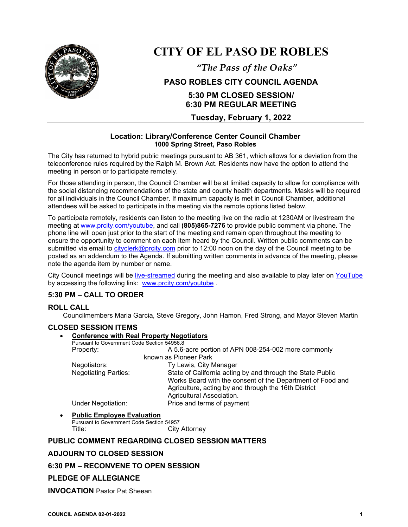

# **CITY OF EL PASO DE ROBLES**

*"The Pass of the Oaks"*

## **PASO ROBLES CITY COUNCIL AGENDA**

## **5:30 PM CLOSED SESSION/ 6:30 PM REGULAR MEETING**

**Tuesday, February 1, 2022**

#### **Location: Library/Conference Center Council Chamber 1000 Spring Street, Paso Robles**

The City has returned to hybrid public meetings pursuant to AB 361, which allows for a deviation from the teleconference rules required by the Ralph M. Brown Act. Residents now have the option to attend the meeting in person or to participate remotely.

For those attending in person, the Council Chamber will be at limited capacity to allow for compliance with the social distancing recommendations of the state and county health departments. Masks will be required for all individuals in the Council Chamber. If maximum capacity is met in Council Chamber, additional attendees will be asked to participate in the meeting via the remote options listed below.

To participate remotely, residents can listen to the meeting live on the radio at 1230AM or livestream the meeting at [www.prcity.com/youtube,](http://www.prcity.com/youtube) and call **(805)865-7276** to provide public comment via phone. The phone line will open just prior to the start of the meeting and remain open throughout the meeting to ensure the opportunity to comment on each item heard by the Council. Written public comments can be submitted via email to [cityclerk@prcity.com](mailto:cityclerk@prcity.com) prior to 12:00 noon on the day of the Council meeting to be posted as an addendum to the Agenda. If submitting written comments in advance of the meeting, please note the agenda item by number or name.

City Council meetings will be [live-streamed](https://www.youtube.com/channel/UCxElWtI1YhkPr6KI552RDuw) during the meeting and also available to play later on [YouTube](https://www.youtube.com/channel/UCxElWtI1YhkPr6KI552RDuw) by accessing the following link: [www.prcity.com/youtube](http://www.prcity.com/youtube) .

## **5:30 PM – CALL TO ORDER**

## **ROLL CALL**

Councilmembers Maria Garcia, Steve Gregory, John Hamon, Fred Strong, and Mayor Steven Martin

## **CLOSED SESSION ITEMS**

| $\bullet$ | <b>Conference with Real Property Negotiators</b><br>Pursuant to Government Code Section 54956.8 |                                                            |
|-----------|-------------------------------------------------------------------------------------------------|------------------------------------------------------------|
|           |                                                                                                 |                                                            |
|           | Property:                                                                                       | A 5.6-acre portion of APN 008-254-002 more commonly        |
|           | known as Pioneer Park                                                                           |                                                            |
|           | Negotiators:                                                                                    | Ty Lewis, City Manager                                     |
|           | <b>Negotiating Parties:</b>                                                                     | State of California acting by and through the State Public |
|           |                                                                                                 | Works Board with the consent of the Department of Food and |
|           |                                                                                                 | Agriculture, acting by and through the 16th District       |
|           |                                                                                                 | Agricultural Association.                                  |
|           | <b>Under Negotiation:</b>                                                                       | Price and terms of payment                                 |
|           |                                                                                                 |                                                            |

• **Public Employee Evaluation** Pursuant to Government Code Section 54957

Title: City Attorney

## **PUBLIC COMMENT REGARDING CLOSED SESSION MATTERS**

## **ADJOURN TO CLOSED SESSION**

#### **6:30 PM – RECONVENE TO OPEN SESSION**

## **PLEDGE OF ALLEGIANCE**

**INVOCATION** Pastor Pat Sheean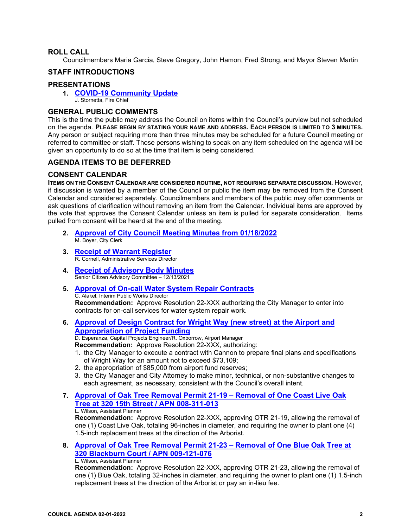#### **ROLL CALL**

Councilmembers Maria Garcia, Steve Gregory, John Hamon, Fred Strong, and Mayor Steven Martin

#### **STAFF INTRODUCTIONS**

#### **PRESENTATIONS**

#### **1. [COVID-19 Community Update](https://www.prcity.com/DocumentCenter/View/33106/February-1-2022-City-Council-Agenda-Item-01-PDF)**  J. Stornetta, Fire Chief

#### **GENERAL PUBLIC COMMENTS**

This is the time the public may address the Council on items within the Council's purview but not scheduled on the agenda. **PLEASE BEGIN BY STATING YOUR NAME AND ADDRESS. EACH PERSON IS LIMITED TO 3 MINUTES.** Any person or subject requiring more than three minutes may be scheduled for a future Council meeting or referred to committee or staff. Those persons wishing to speak on any item scheduled on the agenda will be given an opportunity to do so at the time that item is being considered.

#### **AGENDA ITEMS TO BE DEFERRED**

#### **CONSENT CALENDAR**

**ITEMS ON THE CONSENT CALENDAR ARE CONSIDERED ROUTINE, NOT REQUIRING SEPARATE DISCUSSION.** However, if discussion is wanted by a member of the Council or public the item may be removed from the Consent Calendar and considered separately. Councilmembers and members of the public may offer comments or ask questions of clarification without removing an item from the Calendar. Individual items are approved by the vote that approves the Consent Calendar unless an item is pulled for separate consideration. Items pulled from consent will be heard at the end of the meeting.

- **2. [Approval of City Council Meeting Minutes from 01/18/2022](https://www.prcity.com/DocumentCenter/View/33107/February-1-2022-City-Council-Agenda-Item-02-PDF)** M. Boyer, City Clerk
- **3. Receipt [of Warrant Register](https://www.prcity.com/DocumentCenter/View/33108/February-1-2022-City-Council-Agenda-Item-03-PDF)**R. Cornell, Administrative Services Director
- **4. [Receipt of Advisory Body Minutes](https://www.prcity.com/DocumentCenter/View/33109/February-1-2022-City-Council-Agenda-Item-04-PDF)** Senior Citizen Advisory Committee – 12/13/2021
- **5. [Approval of On-call Water System Repair Contracts](https://www.prcity.com/DocumentCenter/View/33110/February-1-2022-City-Council-Agenda-Item-05-PDF)** C. Alakel, Interim Public Works Director **Recommendation:** Approve Resolution 22-XXX authorizing the City Manager to enter into contracts for on-call services for water system repair work.
- **6. [Approval of Design Contract for Wright Way \(new street\) at the Airport and](https://www.prcity.com/DocumentCenter/View/33111/February-1-2022-City-Council-Agenda-Item-06-PDF)  [Appropriation of Project Funding](https://www.prcity.com/DocumentCenter/View/33111/February-1-2022-City-Council-Agenda-Item-06-PDF)**

D. Esperanza, Capital Projects Engineer/R. Oxborrow, Airport Manager

**Recommendation:** Approve Resolution 22-XXX, authorizing:

- 1. the City Manager to execute a contract with Cannon to prepare final plans and specifications of Wright Way for an amount not to exceed \$73,109;
- 2. the appropriation of \$85,000 from airport fund reserves;
- 3. the City Manager and City Attorney to make minor, technical, or non-substantive changes to each agreement, as necessary, consistent with the Council's overall intent.
- **7. [Approval of Oak Tree Removal Permit 21-19 –](https://www.prcity.com/DocumentCenter/View/33112/February-1-2022-City-Council-Agenda-Item-07-PDF) Removal of One Coast Live Oak [Tree at 320 15th Street / APN 008-311-013](https://www.prcity.com/DocumentCenter/View/33112/February-1-2022-City-Council-Agenda-Item-07-PDF)**

L. Wilson, Assistant Planner

**Recommendation:** Approve Resolution 22-XXX, approving OTR 21-19, allowing the removal of one (1) Coast Live Oak, totaling 96-inches in diameter, and requiring the owner to plant one (4) 1.5-inch replacement trees at the direction of the Arborist.

**8. [Approval of Oak Tree Removal Permit 21-23 –](https://www.prcity.com/DocumentCenter/View/33100/February-1-2022-City-Council-Agenda-Item-08-PDF) Removal of One Blue Oak Tree at [320 Blackburn Court / APN 009-121-076](https://www.prcity.com/DocumentCenter/View/33100/February-1-2022-City-Council-Agenda-Item-08-PDF)** L. Wilson, Assistant Planner

**Recommendation:** Approve Resolution 22-XXX, approving OTR 21-23, allowing the removal of one (1) Blue Oak, totaling 32-inches in diameter, and requiring the owner to plant one (1) 1.5-inch replacement trees at the direction of the Arborist or pay an in-lieu fee.